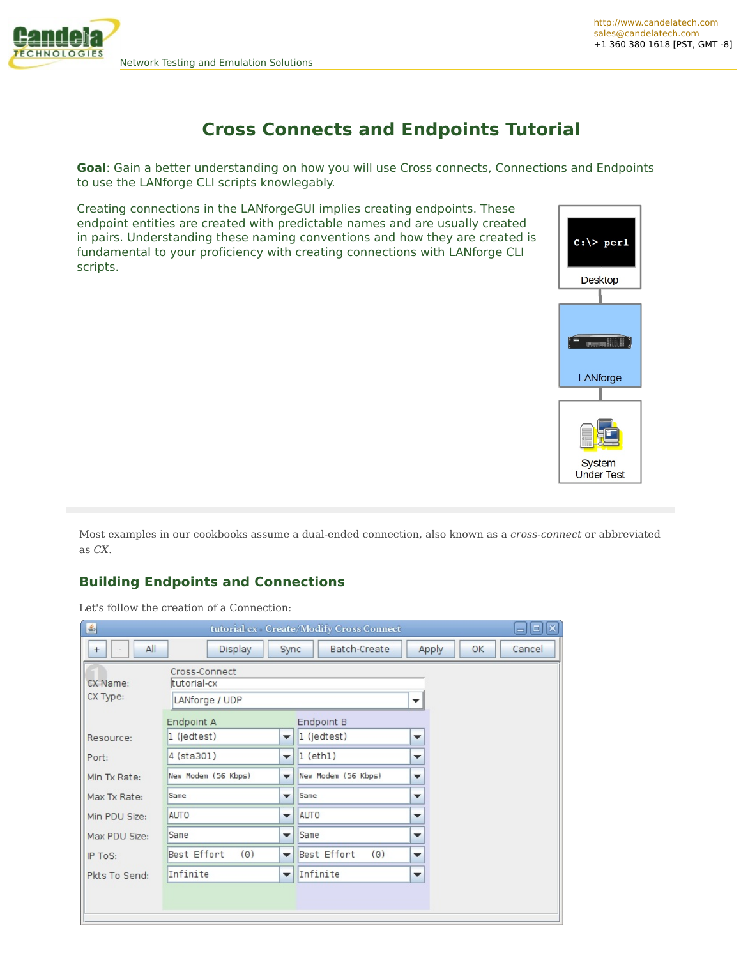

# **Cross Connects and Endpoints Tutorial**

**Goal**: Gain a better understanding on how you will use Cross connects, Connections and Endpoints to use the LANforge CLI scripts knowlegably.

Creating connections in the LANforgeGUI implies creating endpoints. These endpoint entities are created with predictable names and are usually created in pairs. Understanding these naming conventions and how they are created is fundamental to your proficiency with creating connections with LANforge CLI scripts.



Most examples in our cookbooks assume a dual-ended connection, also known as a *cross-connect* or abbreviated as *CX*.

## **Building Endpoints and Connections**

Let's follow the creation of a Connection:

| 乡<br>x<br>$\blacksquare$<br>tutorial-cx - Create/Modify Cross Connect<br>ᅴ |                                                |                                                                                                     |                                                      |  |  |  |  |  |  |  |
|----------------------------------------------------------------------------|------------------------------------------------|-----------------------------------------------------------------------------------------------------|------------------------------------------------------|--|--|--|--|--|--|--|
| All<br>$+$                                                                 | Display                                        | Batch-Create<br>Sync                                                                                | Apply<br>OK<br>Cancel                                |  |  |  |  |  |  |  |
| CX Name:<br>CX Type:                                                       | Cross-Connect<br>tutorial-cx<br>LANforge / UDP |                                                                                                     | ▼                                                    |  |  |  |  |  |  |  |
| Resource:<br>Port:                                                         | Endpoint A<br>$1$ (jedtest)<br>4 (sta301)      | Endpoint B<br>1 (jedtest)<br>$\overline{\phantom{a}}$<br>$1$ (eth $1$ )<br>$\overline{\phantom{a}}$ | $\blacktriangledown$<br>$\overline{\phantom{a}}$     |  |  |  |  |  |  |  |
| Min Tx Rate:<br>Max Tx Rate:                                               | New Modem (56 Kbps)<br>Same                    | New Modem (56 Kbps)<br>$\overline{\phantom{a}}$<br>Same<br>$\overline{\phantom{a}}$                 | $\overline{\phantom{a}}$<br>$\overline{\phantom{a}}$ |  |  |  |  |  |  |  |
| Min PDU Size:                                                              | <b>AUTO</b>                                    | <b>AUTO</b><br>$\blacktriangledown$                                                                 | $\overline{\phantom{a}}$                             |  |  |  |  |  |  |  |
| Max PDU Size:<br>IP ToS:                                                   | Same<br>(0)<br>Best Effort                     | Same<br>$\overline{\phantom{a}}$<br>Best Effort<br>(0)<br>$\overline{\phantom{a}}$                  | $\overline{\phantom{a}}$<br>$\overline{\phantom{a}}$ |  |  |  |  |  |  |  |
| Pkts To Send:                                                              | Infinite                                       | Infinite<br>$\blacktriangledown$                                                                    | $\overline{\phantom{a}}$                             |  |  |  |  |  |  |  |
|                                                                            |                                                |                                                                                                     |                                                      |  |  |  |  |  |  |  |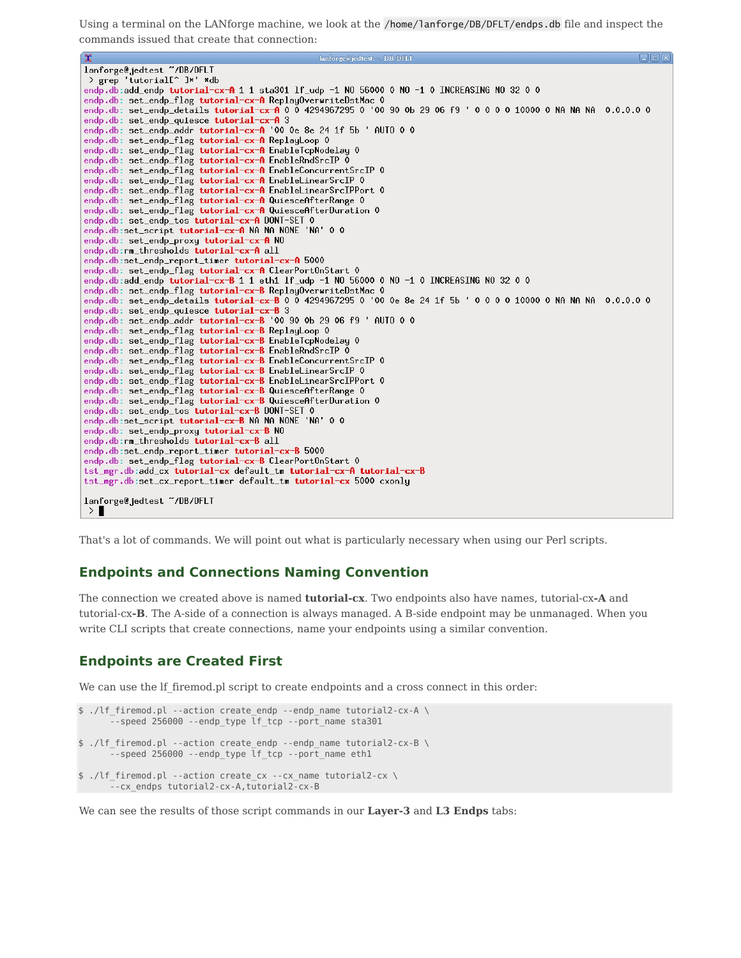Using a terminal on the LANforge machine, we look at the /home/lanforge/DB/DFLT/endps.db file and inspect the commands issued that create that connection:

```
lanforge@jedtest:~/DB/DFLT
x
lanforge@jedtest "/DB/DFLT
> grep 'tutorial[^ ]*' *db
endp.db:add_endp tutorial-cx-A 1 1 sta301 lf_udp -1 N0 56000 0 N0 -1 0 INCREASING N0 32 0 0
endp.db: set_endp_ring tutorial cx in Reprogrammitted stince of the case of the case of the case of the case of the case of the case of the case of the case of the case of the case of the case of the case of the case of th
endp.db: set_endp_flag tutorial-cx-A ReplayLoop 0
endp.db: set_endp_flag tutorial-cx-A EnableTcpNodelay 0
endp.db: set_endp_flag tutorial-cx-A EnableRndSrcIP 0
endp.db: set_endp_flag tutorial-cx-A EnableConcurrentSrcIP 0
endp.db: set_endp_flag tutorial-cx-A EnableLinearSrcIP 0
endp.db: set_endp_flag tutorial-cx-A EnableLinearSrcIPPort 0
endp.db: set_endp_flag tutorial-cx-A QuiesceAfterRange O
endp.db: set_endp_flag tutorial-cx-A QuiesceAfterDuration 0
endp.db: set_endp_tos tutorial-cx-A DONT-SET 0
endp.db:set_script tutorial-cx-A NA NA NONE 'NA' 0 0
endp.db: set_endp_proxy tutorial-cx-A NO
endp.db:rm_thresholds tutorial-cx-A all
endp.db:set_endp_report_timer tutorial-cx-A 5000
endp.db: set_endp_flag tutorial-cx-A ClearPortOnStart 0
endp.db:add_endp tutorial-cx-B 1 1 eth1 lf_udp -1 NO 56000 0 NO -1 0 INCREASING NO 32 0 0
endp.db: set_endp_flag tutorial-cx-B ReplayOverwriteDstMac 0
endp.db: set_endp_details tutorial-cx-B 0 0 4294967295 0 '00 0e 8e 24 1f 5b ' 0 0 0 0 10000 0 NA NA NA 0.0.0.0 0
endp.db: set_endp_quiesce tutorial-cx-B 3
endp.db: set_endp_addr tutorial-cx-B '00 90 0b 29 06 f9 ' AUTO 0 0
endp.db: set_endp_flag tutorial-cx-B ReplayLoop 0
endp.db: set_endp_flag tutorial-cx-B EnableTcpNodelay 0
endp.db: set_endp_flag tutorial-cx-B EnableRndSrcIP 0
endp.db: set_endp_flag tutorial-cx-B EnableConcurrentSrcIP 0
endp.db: set_endp_flag tutorial-cx-B EnableLinearSrcIP 0
endp.db: set_endp_flag tutorial-cx-B EnableLinearSrcIPPort 0
endp.db: set_endp_flag tutorial-cx-B QuiesceAfterRange O
endp.db: set_endp_flag tutorial-cx-B QuiesceAfterDuration 0
endp.db: set_endp_tos tutorial-cx-B DONT-SET 0
endp.db:set_script tutorial-cx-B NA NA NONE 'NA' 0 0
endp.db: set_endp_proxy tutorial-cx-B NO
endp.db:rm_thresholds tutorial-cx-B all
endp.db:set_endp_report_timer tutorial-cx-B 5000
endp.db: set_endp_flag tutorial-cx-B ClearPortOnStart 0
tst_mgr.db:add_cx          tutorial-cx          default_tm          tutorial-cx-A tutorial-cx-B
tst_mgr.db:set_cx_report_timer default_tm tutorial-cx 5000 cxonly
lanforge@jedtest "/DB/DFLT
>
```
That's a lot of commands. We will point out what is particularly necessary when using our Perl scripts.

### **Endpoints and Connections Naming Convention**

The connection we created above is named **tutorial-cx**. Two endpoints also have names, tutorial-cx**-A** and tutorial-cx**-B**. The A-side of a connection is always managed. A B-side endpoint may be unmanaged. When you write CLI scripts that create connections, name your endpoints using a similar convention.

## **Endpoints are Created First**

We can use the lf firemod.pl script to create endpoints and a cross connect in this order:

```
$ ./lf_firemod.pl --action create_endp --endp_name tutorial2-cx-A \
      --speed 256000 --endp type lf tcp --port name sta301
$ ./lf_firemod.pl --action create_endp --endp_name tutorial2-cx-B \
      --speed 256000 --endp_type lf_tcp --port_name eth1
$ ./lf_firemod.pl --action create_cx --cx_name tutorial2-cx \
     --cx_endps tutorial2-cx-A,tutorial2-cx-B
```
We can see the results of those script commands in our **Layer-3** and **L3 Endps** tabs: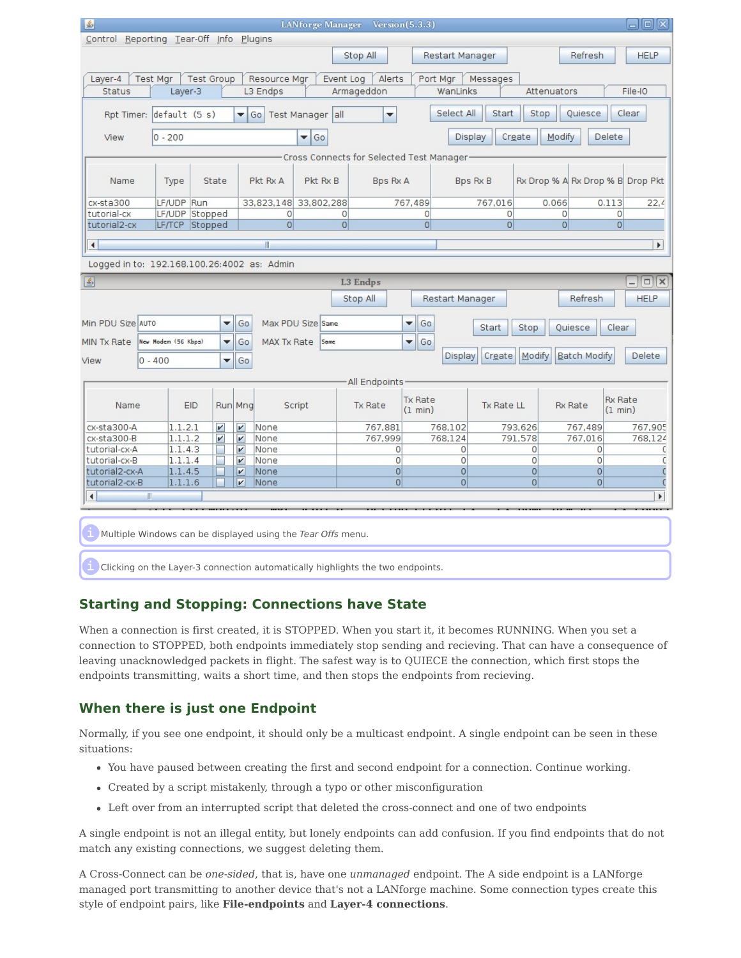| 图                                                                                                                                                     | $\Box$ e $\boxtimes$<br>LANforge Manager Version(5.3.3)       |                     |                           |                    |                    |            |                           |                           |                     |                |                            |                                  |                           |                          |
|-------------------------------------------------------------------------------------------------------------------------------------------------------|---------------------------------------------------------------|---------------------|---------------------------|--------------------|--------------------|------------|---------------------------|---------------------------|---------------------|----------------|----------------------------|----------------------------------|---------------------------|--------------------------|
| Control Reporting Tear-Off Info Plugins                                                                                                               |                                                               |                     |                           |                    |                    |            |                           |                           |                     |                |                            |                                  |                           |                          |
|                                                                                                                                                       |                                                               |                     |                           |                    |                    |            | Stop All                  |                           | Restart Manager     |                |                            | Refresh                          |                           | <b>HELP</b>              |
|                                                                                                                                                       |                                                               |                     |                           |                    |                    |            |                           |                           |                     |                |                            |                                  |                           |                          |
| <b>Test Group</b><br>Resource Mgr<br>Event Log<br>Alerts<br>Layer-4<br><b>Test Mgr</b><br>Port Mgr<br>Messages                                        |                                                               |                     |                           |                    |                    |            |                           |                           |                     |                |                            |                                  |                           |                          |
| L3 Endps<br>File-IO<br><b>Status</b><br>Layer-3<br>Armageddon<br>WanLinks<br>Attenuators                                                              |                                                               |                     |                           |                    |                    |            |                           |                           |                     |                |                            |                                  |                           |                          |
| Quiesce<br>Select All<br>Start<br>Stop<br>Clear<br>default (5 s)<br>Test Manager all<br>$\blacktriangledown$<br>Rpt Timer:<br>$\blacktriangledown$ Go |                                                               |                     |                           |                    |                    |            |                           |                           |                     |                |                            |                                  |                           |                          |
| View                                                                                                                                                  | $0 - 200$<br>Display<br>Create<br>Modify<br>Delete<br>Go<br>▼ |                     |                           |                    |                    |            |                           |                           |                     |                |                            |                                  |                           |                          |
| Cross Connects for Selected Test Manager                                                                                                              |                                                               |                     |                           |                    |                    |            |                           |                           |                     |                |                            |                                  |                           |                          |
|                                                                                                                                                       |                                                               |                     |                           |                    |                    |            |                           |                           |                     |                |                            |                                  |                           |                          |
| Name                                                                                                                                                  |                                                               | Type                | State                     |                    | Pkt Rx A           | Pkt Rx B   | <b>Bps Rx A</b>           |                           |                     | Bps Rx B       |                            | Rx Drop % A Rx Drop % B Drop Pkt |                           |                          |
| cx-sta300                                                                                                                                             |                                                               | LF/UDP Run          |                           |                    | 33,823,148         | 33,802,288 |                           | 767,489                   |                     | 767,016        | 0.066                      |                                  | 0.113                     | 22,4                     |
| tutorial-cx                                                                                                                                           |                                                               | LF/UDP Stopped      |                           |                    | $\circ$            |            | $\circ$                   | $\overline{0}$            |                     | $\circ$        |                            | $\mathbf{0}$                     | $\overline{0}$            |                          |
| tutorial2-cx                                                                                                                                          |                                                               | LF/TCP Stopped      |                           |                    | $\overline{0}$     |            | $\overline{0}$            | $\overline{0}$            |                     | $\overline{0}$ |                            | $\overline{0}$                   | 0                         |                          |
| $\left  \cdot \right $                                                                                                                                |                                                               |                     |                           |                    | $\mathbb{I}$       |            |                           |                           |                     |                |                            |                                  |                           | $\blacktriangleright$    |
|                                                                                                                                                       |                                                               |                     |                           |                    |                    |            |                           |                           |                     |                |                            |                                  |                           |                          |
| Logged in to: 192.168.100.26:4002 as: Admin                                                                                                           |                                                               |                     |                           |                    |                    |            |                           |                           |                     |                |                            |                                  |                           |                          |
| 區                                                                                                                                                     |                                                               |                     |                           |                    |                    |            | <b>L3 Endps</b>           |                           |                     |                |                            |                                  |                           | $ \boxed{\Box}$ $\times$ |
| <b>HELP</b><br>Stop All<br>Refresh<br>Restart Manager                                                                                                 |                                                               |                     |                           |                    |                    |            |                           |                           |                     |                |                            |                                  |                           |                          |
|                                                                                                                                                       |                                                               |                     |                           |                    |                    |            |                           |                           |                     |                |                            |                                  |                           |                          |
| Min PDU Size AUTO                                                                                                                                     |                                                               |                     | $\blacktriangledown$      | Go                 | Max PDU Size Same  |            |                           | Go<br>▼                   |                     | Start          | Stop                       | Quiesce                          | Clear                     |                          |
| MIN Tx Rate                                                                                                                                           |                                                               | New Modem (56 Kbps) | ▼                         | Go                 | <b>MAX Tx Rate</b> | Same       |                           | ۰<br>Go                   |                     |                |                            |                                  |                           |                          |
| View                                                                                                                                                  | $0 - 400$                                                     |                     | ▼                         | Go                 |                    |            |                           |                           | Display             | Create         | Modify                     | <b>Batch Modify</b>              |                           | Delete                   |
|                                                                                                                                                       |                                                               |                     |                           |                    |                    |            |                           |                           |                     |                |                            |                                  |                           |                          |
| All Endpoints                                                                                                                                         |                                                               |                     |                           |                    |                    |            |                           |                           |                     |                |                            |                                  |                           |                          |
| Name                                                                                                                                                  |                                                               | <b>EID</b>          |                           | Run Mng            | Script             |            | Tx Rate                   | <b>Tx Rate</b><br>(1 min) |                     | Tx Rate LL     |                            | <b>Rx Rate</b>                   | <b>Rx Rate</b><br>(1 min) |                          |
| cx-sta300-A                                                                                                                                           |                                                               | 1.1.2.1             | $\boldsymbol{\mathsf{v}}$ | $\boldsymbol{\nu}$ | None               |            | 767,881                   |                           | 768,102             |                | 793,626                    | 767,489                          |                           | 767,905                  |
| cx-sta300-B                                                                                                                                           |                                                               | 1.1.1.2             | $\boldsymbol{\nu}$        | $\boldsymbol{\nu}$ | None               |            | 767,999                   |                           | 768,124             |                | 791,578                    | 767,016                          |                           | 768,124                  |
| tutorial-cx-A                                                                                                                                         |                                                               | 1.1.4.3             |                           | $\boldsymbol{\nu}$ | None               |            | $\circ$<br>$\overline{0}$ |                           | 0<br>$\overline{0}$ |                | $\Omega$<br>$\overline{0}$ | 0<br>$\overline{0}$              |                           | C                        |
| tutorial-cx-B<br>tutorial2-cx-A                                                                                                                       |                                                               | 1.1.1.4<br>1.1.4.5  |                           | $\mathbf{v}$<br>V  | None<br>None       |            | $\overline{0}$            |                           | $\overline{0}$      |                | $\Omega$                   | $\overline{0}$                   |                           | C                        |
| tutorial2-cx-B                                                                                                                                        |                                                               | 1.1.1.6             |                           | V                  | None               |            | $\overline{0}$            |                           | $\overline{0}$      |                | $\overline{0}$             | $\overline{0}$                   |                           |                          |
| $\blacksquare$<br>Þ.<br>$\blacksquare$                                                                                                                |                                                               |                     |                           |                    |                    |            |                           |                           |                     |                |                            |                                  |                           |                          |
|                                                                                                                                                       |                                                               |                     |                           |                    |                    |            |                           |                           |                     |                |                            |                                  |                           |                          |
| I Multiple Windows can be displayed using the Tear Offs menu.                                                                                         |                                                               |                     |                           |                    |                    |            |                           |                           |                     |                |                            |                                  |                           |                          |

**i** Clicking on the Layer-3 connection automatically highlights the two endpoints.

### **Starting and Stopping: Connections have State**

When a connection is first created, it is STOPPED. When you start it, it becomes RUNNING. When you set a connection to STOPPED, both endpoints immediately stop sending and recieving. That can have a consequence of leaving unacknowledged packets in flight. The safest way is to QUIECE the connection, which first stops the endpoints transmitting, waits a short time, and then stops the endpoints from recieving.

### **When there is just one Endpoint**

Normally, if you see one endpoint, it should only be a multicast endpoint. A single endpoint can be seen in these situations:

- You have paused between creating the first and second endpoint for a connection. Continue working.
- Created by a script mistakenly, through a typo or other misconfiguration
- Left over from an interrupted script that deleted the cross-connect and one of two endpoints

A single endpoint is not an illegal entity, but lonely endpoints can add confusion. If you find endpoints that do not match any existing connections, we suggest deleting them.

A Cross-Connect can be *one-sided*, that is, have one *unmanaged* endpoint. The A side endpoint is a LANforge managed port transmitting to another device that's not a LANforge machine. Some connection types create this style of endpoint pairs, like **File-endpoints** and **Layer-4 connections**.